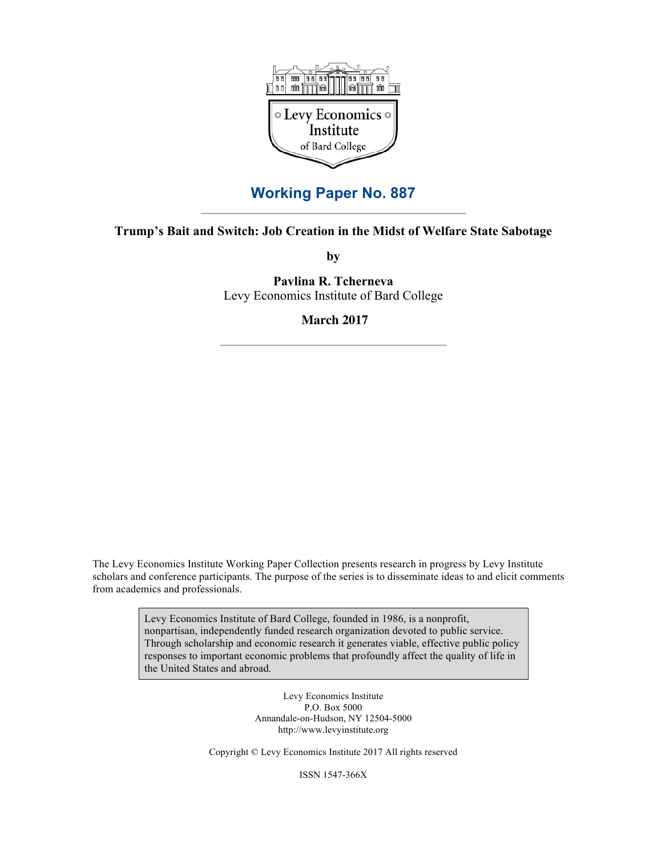

# **Working Paper No. 887**

## **Trump's Bait and Switch: Job Creation in the Midst of Welfare State Sabotage**

**by**

**Pavlina R. Tcherneva** Levy Economics Institute of Bard College

**March 2017**

The Levy Economics Institute Working Paper Collection presents research in progress by Levy Institute scholars and conference participants. The purpose of the series is to disseminate ideas to and elicit comments from academics and professionals.

> Levy Economics Institute of Bard College, founded in 1986, is a nonprofit, nonpartisan, independently funded research organization devoted to public service. Through scholarship and economic research it generates viable, effective public policy responses to important economic problems that profoundly affect the quality of life in the United States and abroad.

> > Levy Economics Institute P.O. Box 5000 Annandale-on-Hudson, NY 12504-5000 http://www.levyinstitute.org

Copyright © Levy Economics Institute 2017 All rights reserved

ISSN 1547-366X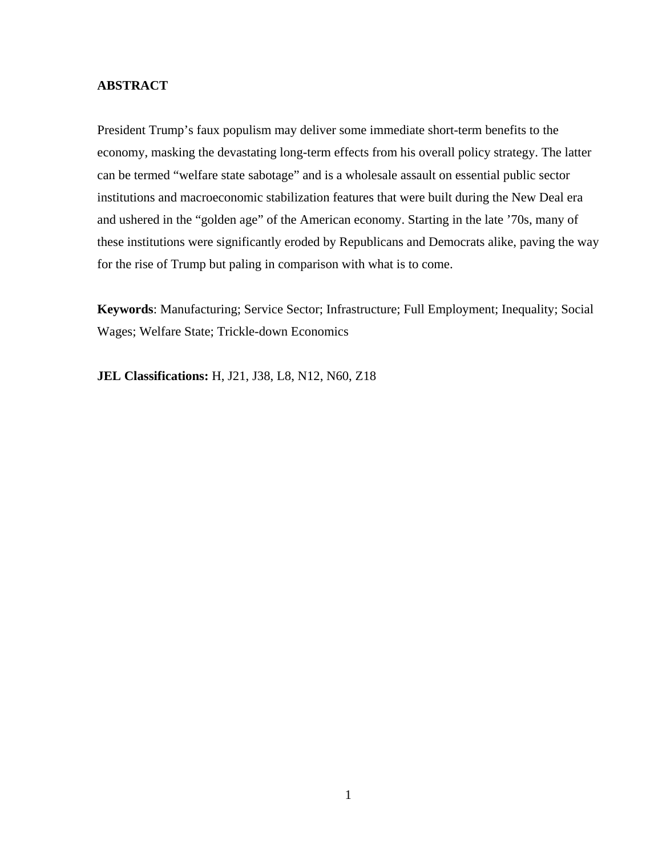## **ABSTRACT**

President Trump's faux populism may deliver some immediate short-term benefits to the economy, masking the devastating long-term effects from his overall policy strategy. The latter can be termed "welfare state sabotage" and is a wholesale assault on essential public sector institutions and macroeconomic stabilization features that were built during the New Deal era and ushered in the "golden age" of the American economy. Starting in the late '70s, many of these institutions were significantly eroded by Republicans and Democrats alike, paving the way for the rise of Trump but paling in comparison with what is to come.

**Keywords**: Manufacturing; Service Sector; Infrastructure; Full Employment; Inequality; Social Wages; Welfare State; Trickle-down Economics

**JEL Classifications:** H, J21, J38, L8, N12, N60, Z18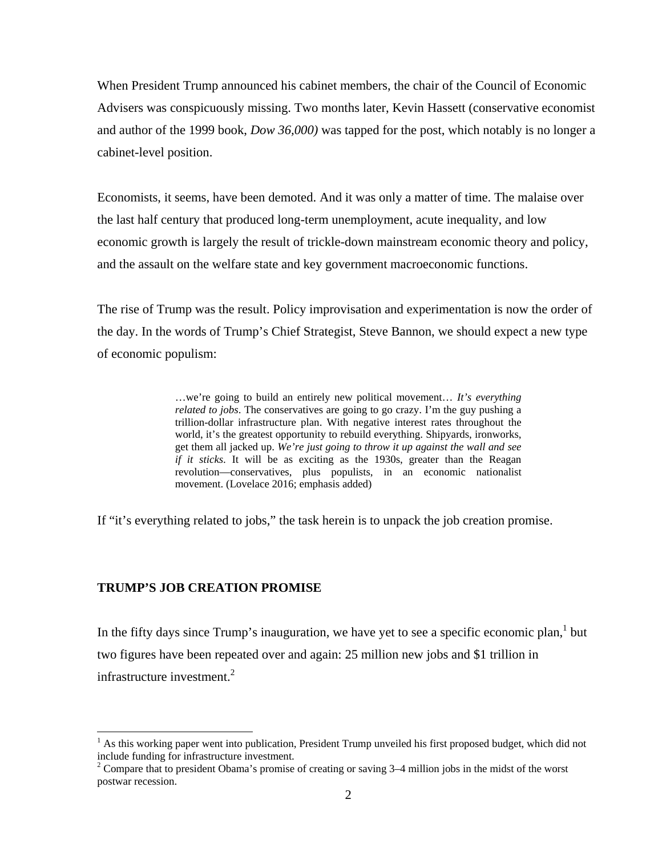When President Trump announced his cabinet members, the chair of the Council of Economic Advisers was conspicuously missing. Two months later, Kevin Hassett (conservative economist and author of the 1999 book, *Dow 36,000)* was tapped for the post, which notably is no longer a cabinet-level position.

Economists, it seems, have been demoted. And it was only a matter of time. The malaise over the last half century that produced long-term unemployment, acute inequality, and low economic growth is largely the result of trickle-down mainstream economic theory and policy, and the assault on the welfare state and key government macroeconomic functions.

The rise of Trump was the result. Policy improvisation and experimentation is now the order of the day. In the words of Trump's Chief Strategist, Steve Bannon, we should expect a new type of economic populism:

> …we're going to build an entirely new political movement… *It's everything related to jobs*. The conservatives are going to go crazy. I'm the guy pushing a trillion-dollar infrastructure plan. With negative interest rates throughout the world, it's the greatest opportunity to rebuild everything. Shipyards, ironworks, get them all jacked up. *We're just going to throw it up against the wall and see if it sticks*. It will be as exciting as the 1930s, greater than the Reagan revolution—conservatives, plus populists, in an economic nationalist movement. (Lovelace 2016; emphasis added)

If "it's everything related to jobs," the task herein is to unpack the job creation promise.

## **TRUMP'S JOB CREATION PROMISE**

 

In the fifty days since Trump's inauguration, we have yet to see a specific economic plan,  $1$  but two figures have been repeated over and again: 25 million new jobs and \$1 trillion in infrastructure investment.<sup>2</sup>

<sup>&</sup>lt;sup>1</sup> As this working paper went into publication, President Trump unveiled his first proposed budget, which did not include funding for infrastructure investment.

 $2^2$  Compare that to president Obama's promise of creating or saving 3–4 million jobs in the midst of the worst postwar recession.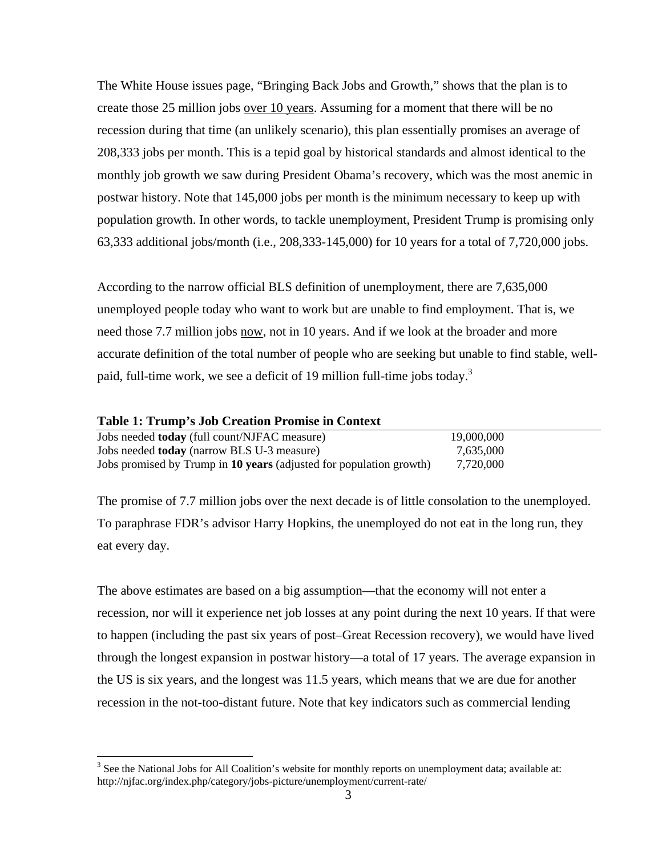The White House issues page, "Bringing Back Jobs and Growth," shows that the plan is to create those 25 million jobs over 10 years. Assuming for a moment that there will be no recession during that time (an unlikely scenario), this plan essentially promises an average of 208,333 jobs per month. This is a tepid goal by historical standards and almost identical to the monthly job growth we saw during President Obama's recovery, which was the most anemic in postwar history. Note that 145,000 jobs per month is the minimum necessary to keep up with population growth. In other words, to tackle unemployment, President Trump is promising only 63,333 additional jobs/month (i.e., 208,333-145,000) for 10 years for a total of 7,720,000 jobs.

According to the narrow official BLS definition of unemployment, there are 7,635,000 unemployed people today who want to work but are unable to find employment. That is, we need those 7.7 million jobs now, not in 10 years. And if we look at the broader and more accurate definition of the total number of people who are seeking but unable to find stable, wellpaid, full-time work, we see a deficit of 19 million full-time jobs today.<sup>3</sup>

### **Table 1: Trump's Job Creation Promise in Context**

 

| Jobs needed <b>today</b> (full count/NJFAC measure)                 | 19,000,000 |  |
|---------------------------------------------------------------------|------------|--|
| Jobs needed <b>today</b> (narrow BLS U-3 measure)                   | 7,635,000  |  |
| Jobs promised by Trump in 10 years (adjusted for population growth) | 7,720,000  |  |

The promise of 7.7 million jobs over the next decade is of little consolation to the unemployed. To paraphrase FDR's advisor Harry Hopkins, the unemployed do not eat in the long run*,* they eat every day.

The above estimates are based on a big assumption—that the economy will not enter a recession, nor will it experience net job losses at any point during the next 10 years. If that were to happen (including the past six years of post–Great Recession recovery), we would have lived through the longest expansion in postwar history—a total of 17 years. The average expansion in the US is six years, and the longest was 11.5 years, which means that we are due for another recession in the not-too-distant future. Note that key indicators such as commercial lending

 $3$  See the National Jobs for All Coalition's website for monthly reports on unemployment data; available at: http://njfac.org/index.php/category/jobs-picture/unemployment/current-rate/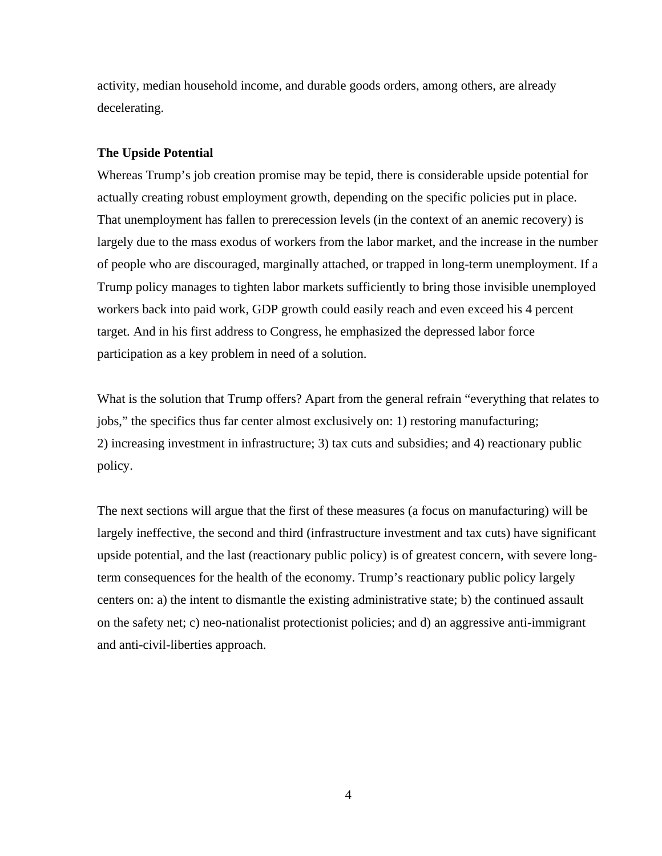activity, median household income, and durable goods orders, among others, are already decelerating.

### **The Upside Potential**

Whereas Trump's job creation promise may be tepid, there is considerable upside potential for actually creating robust employment growth, depending on the specific policies put in place. That unemployment has fallen to prerecession levels (in the context of an anemic recovery) is largely due to the mass exodus of workers from the labor market, and the increase in the number of people who are discouraged, marginally attached, or trapped in long-term unemployment. If a Trump policy manages to tighten labor markets sufficiently to bring those invisible unemployed workers back into paid work, GDP growth could easily reach and even exceed his 4 percent target. And in his first address to Congress, he emphasized the depressed labor force participation as a key problem in need of a solution.

What is the solution that Trump offers? Apart from the general refrain "everything that relates to jobs," the specifics thus far center almost exclusively on: 1) restoring manufacturing; 2) increasing investment in infrastructure; 3) tax cuts and subsidies; and 4) reactionary public policy.

The next sections will argue that the first of these measures (a focus on manufacturing) will be largely ineffective, the second and third (infrastructure investment and tax cuts) have significant upside potential, and the last (reactionary public policy) is of greatest concern, with severe longterm consequences for the health of the economy. Trump's reactionary public policy largely centers on: a) the intent to dismantle the existing administrative state; b) the continued assault on the safety net; c) neo-nationalist protectionist policies; and d) an aggressive anti-immigrant and anti-civil-liberties approach.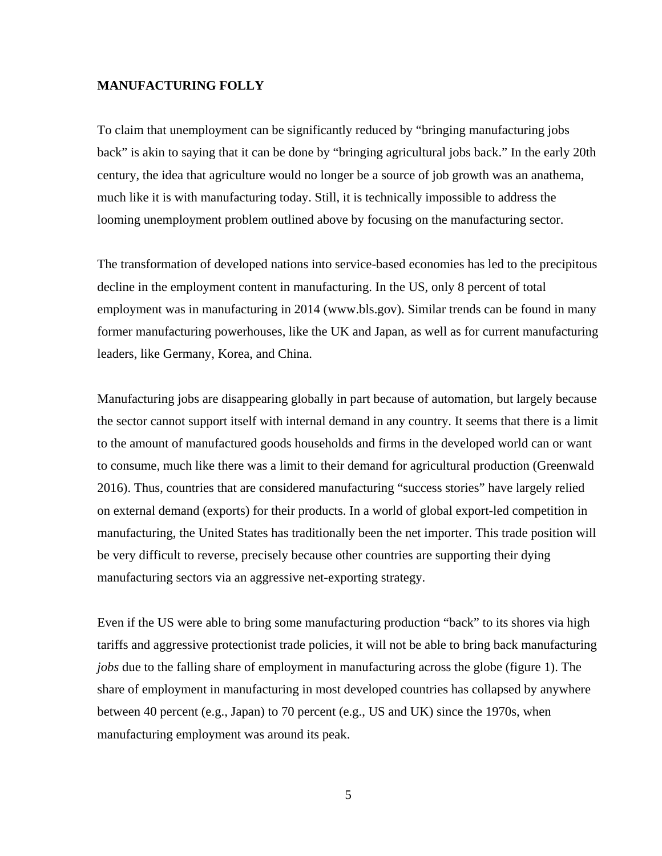### **MANUFACTURING FOLLY**

To claim that unemployment can be significantly reduced by "bringing manufacturing jobs back" is akin to saying that it can be done by "bringing agricultural jobs back." In the early 20th century, the idea that agriculture would no longer be a source of job growth was an anathema, much like it is with manufacturing today. Still, it is technically impossible to address the looming unemployment problem outlined above by focusing on the manufacturing sector.

The transformation of developed nations into service-based economies has led to the precipitous decline in the employment content in manufacturing. In the US, only 8 percent of total employment was in manufacturing in 2014 (www.bls.gov). Similar trends can be found in many former manufacturing powerhouses, like the UK and Japan, as well as for current manufacturing leaders, like Germany, Korea, and China.

Manufacturing jobs are disappearing globally in part because of automation, but largely because the sector cannot support itself with internal demand in any country. It seems that there is a limit to the amount of manufactured goods households and firms in the developed world can or want to consume, much like there was a limit to their demand for agricultural production (Greenwald 2016). Thus, countries that are considered manufacturing "success stories" have largely relied on external demand (exports) for their products. In a world of global export-led competition in manufacturing, the United States has traditionally been the net importer. This trade position will be very difficult to reverse, precisely because other countries are supporting their dying manufacturing sectors via an aggressive net-exporting strategy.

Even if the US were able to bring some manufacturing production "back" to its shores via high tariffs and aggressive protectionist trade policies, it will not be able to bring back manufacturing *jobs* due to the falling share of employment in manufacturing across the globe (figure 1). The share of employment in manufacturing in most developed countries has collapsed by anywhere between 40 percent (e.g., Japan) to 70 percent (e.g., US and UK) since the 1970s, when manufacturing employment was around its peak.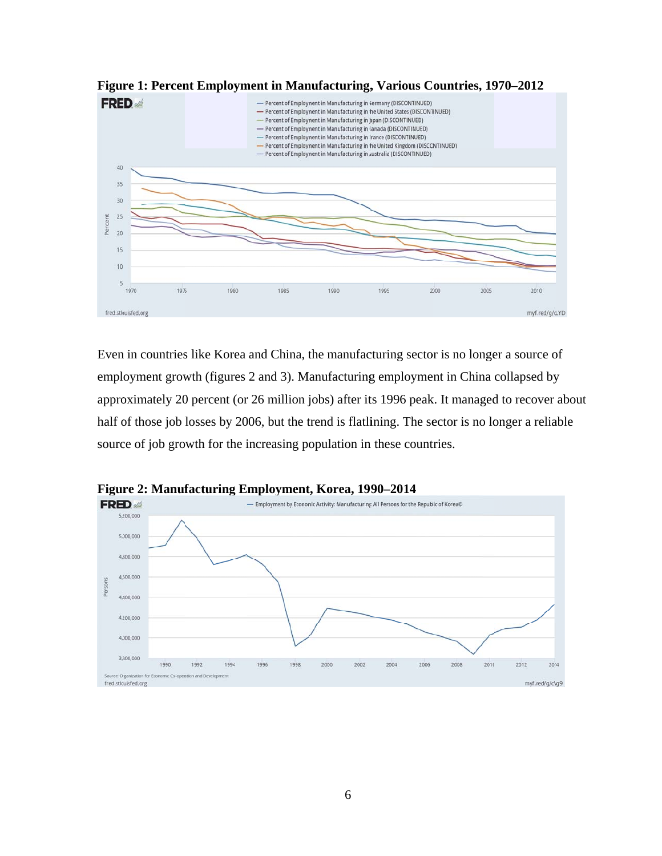

Figure 1: Percent Employment in Manufacturing, Various Countries, 1970–2012

Even in countries like Korea and China, the manufacturing sector is no longer a source of employment growth (figures 2 and 3). Manufacturing employment in China collapsed by approximately 20 percent (or 26 million jobs) after its 1996 peak. It managed to recover about half of those job losses by 2006, but the trend is flatlining. The sector is no longer a reliable source of job growth for the increasing population in these countries.



Figure 2: Manufacturing Employment, Korea, 1990–2014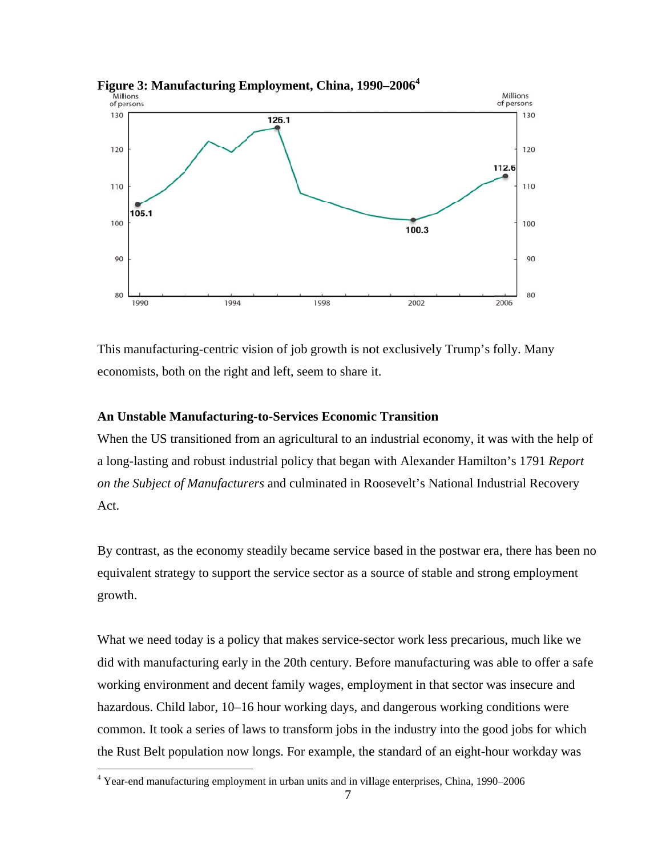

Figure 3: Manufacturing Employment, China, 1990–2006<sup>4</sup>

This manufacturing-centric vision of job growth is not exclusively Trump's folly. Many economists, both on the right and left, seem to share it.

### **An Unstable Manufacturing-to-Services Economic Transition**

When the US transitioned from an agricultural to an industrial economy, it was with the help of a long-lasting and robust industrial policy that began with Alexander Hamilton's 1791 Report on the Subject of Manufacturers and culminated in Roosevelt's National Industrial Recovery Act.

By contrast, as the economy steadily became service based in the postwar era, there has been no equivalent strategy to support the service sector as a source of stable and strong employment growth.

What we need today is a policy that makes service-sector work less precarious, much like we did with manufacturing early in the 20th century. Before manufacturing was able to offer a safe working environment and decent family wages, employment in that sector was insecure and hazardous. Child labor, 10–16 hour working days, and dangerous working conditions were common. It took a series of laws to transform jobs in the industry into the good jobs for which the Rust Belt population now longs. For example, the standard of an eight-hour workday was

<sup>&</sup>lt;sup>4</sup> Year-end manufacturing employment in urban units and in village enterprises, China, 1990–2006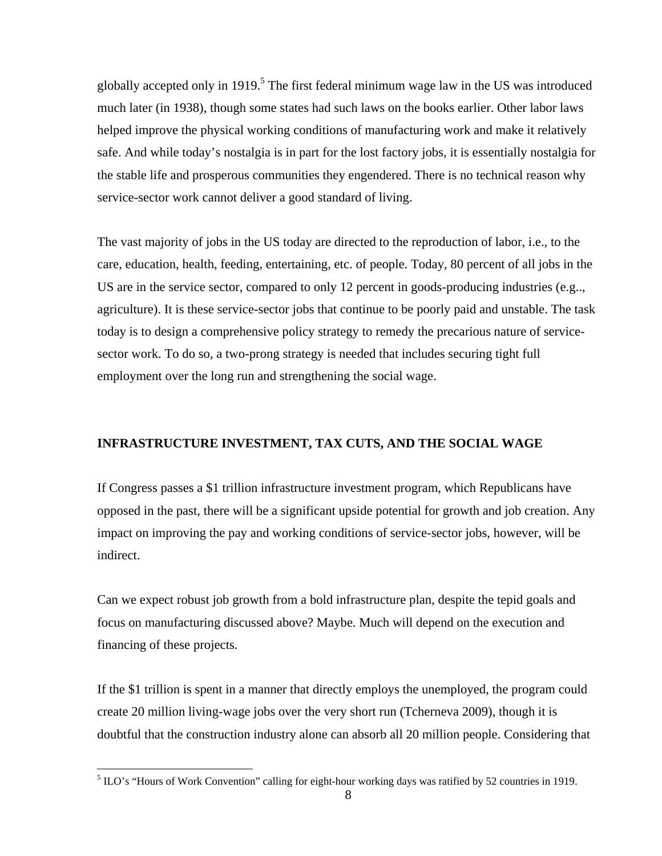globally accepted only in 1919.<sup>5</sup> The first federal minimum wage law in the US was introduced much later (in 1938), though some states had such laws on the books earlier. Other labor laws helped improve the physical working conditions of manufacturing work and make it relatively safe. And while today's nostalgia is in part for the lost factory jobs, it is essentially nostalgia for the stable life and prosperous communities they engendered. There is no technical reason why service-sector work cannot deliver a good standard of living.

The vast majority of jobs in the US today are directed to the reproduction of labor, i.e., to the care, education, health, feeding, entertaining, etc. of people. Today, 80 percent of all jobs in the US are in the service sector, compared to only 12 percent in goods-producing industries (e.g.., agriculture). It is these service-sector jobs that continue to be poorly paid and unstable. The task today is to design a comprehensive policy strategy to remedy the precarious nature of servicesector work. To do so, a two-prong strategy is needed that includes securing tight full employment over the long run and strengthening the social wage.

# **INFRASTRUCTURE INVESTMENT, TAX CUTS, AND THE SOCIAL WAGE**

If Congress passes a \$1 trillion infrastructure investment program, which Republicans have opposed in the past, there will be a significant upside potential for growth and job creation. Any impact on improving the pay and working conditions of service-sector jobs, however, will be indirect.

Can we expect robust job growth from a bold infrastructure plan, despite the tepid goals and focus on manufacturing discussed above? Maybe. Much will depend on the execution and financing of these projects.

If the \$1 trillion is spent in a manner that directly employs the unemployed, the program could create 20 million living-wage jobs over the very short run (Tcherneva 2009), though it is doubtful that the construction industry alone can absorb all 20 million people. Considering that

<sup>&</sup>lt;sup>5</sup> ILO's "Hours of Work Convention" calling for eight-hour working days was ratified by 52 countries in 1919.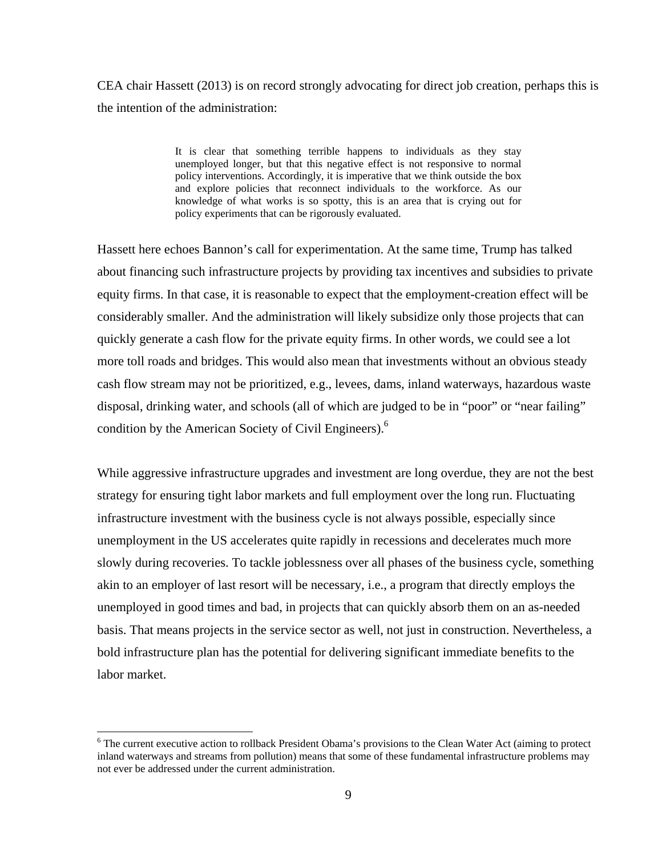CEA chair Hassett (2013) is on record strongly advocating for direct job creation, perhaps this is the intention of the administration:

> It is clear that something terrible happens to individuals as they stay unemployed longer, but that this negative effect is not responsive to normal policy interventions. Accordingly, it is imperative that we think outside the box and explore policies that reconnect individuals to the workforce. As our knowledge of what works is so spotty, this is an area that is crying out for policy experiments that can be rigorously evaluated.

Hassett here echoes Bannon's call for experimentation. At the same time, Trump has talked about financing such infrastructure projects by providing tax incentives and subsidies to private equity firms. In that case, it is reasonable to expect that the employment-creation effect will be considerably smaller. And the administration will likely subsidize only those projects that can quickly generate a cash flow for the private equity firms. In other words, we could see a lot more toll roads and bridges. This would also mean that investments without an obvious steady cash flow stream may not be prioritized, e.g., levees, dams, inland waterways, hazardous waste disposal, drinking water, and schools (all of which are judged to be in "poor" or "near failing" condition by the American Society of Civil Engineers).<sup>6</sup>

While aggressive infrastructure upgrades and investment are long overdue, they are not the best strategy for ensuring tight labor markets and full employment over the long run. Fluctuating infrastructure investment with the business cycle is not always possible, especially since unemployment in the US accelerates quite rapidly in recessions and decelerates much more slowly during recoveries. To tackle joblessness over all phases of the business cycle, something akin to an employer of last resort will be necessary, i.e., a program that directly employs the unemployed in good times and bad, in projects that can quickly absorb them on an as-needed basis. That means projects in the service sector as well, not just in construction. Nevertheless, a bold infrastructure plan has the potential for delivering significant immediate benefits to the labor market.

<sup>&</sup>lt;sup>6</sup> The current executive action to rollback President Obama's provisions to the Clean Water Act (aiming to protect inland waterways and streams from pollution) means that some of these fundamental infrastructure problems may not ever be addressed under the current administration.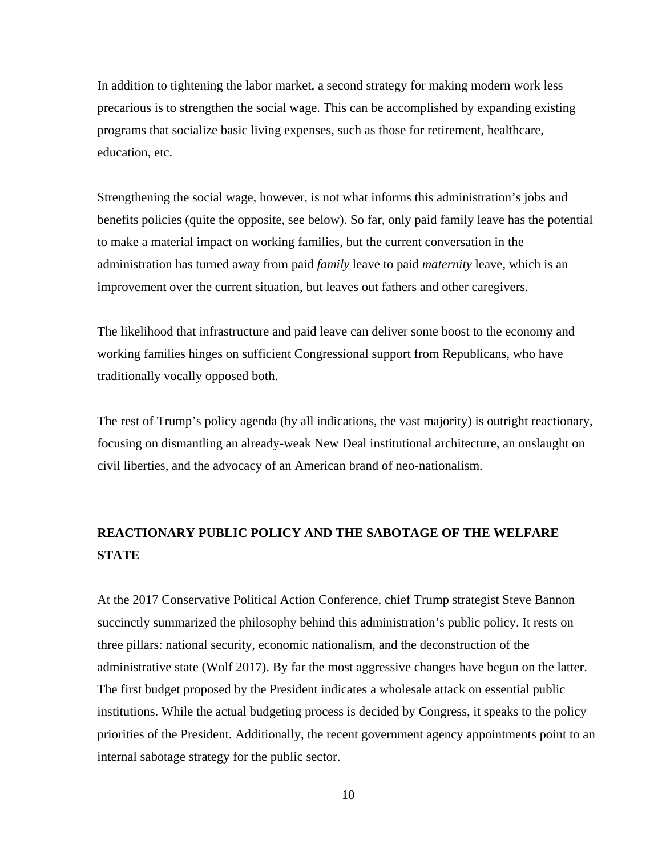In addition to tightening the labor market, a second strategy for making modern work less precarious is to strengthen the social wage. This can be accomplished by expanding existing programs that socialize basic living expenses, such as those for retirement, healthcare, education, etc.

Strengthening the social wage, however, is not what informs this administration's jobs and benefits policies (quite the opposite, see below). So far, only paid family leave has the potential to make a material impact on working families, but the current conversation in the administration has turned away from paid *family* leave to paid *maternity* leave, which is an improvement over the current situation, but leaves out fathers and other caregivers.

The likelihood that infrastructure and paid leave can deliver some boost to the economy and working families hinges on sufficient Congressional support from Republicans, who have traditionally vocally opposed both.

The rest of Trump's policy agenda (by all indications, the vast majority) is outright reactionary, focusing on dismantling an already-weak New Deal institutional architecture, an onslaught on civil liberties, and the advocacy of an American brand of neo-nationalism.

# **REACTIONARY PUBLIC POLICY AND THE SABOTAGE OF THE WELFARE STATE**

At the 2017 Conservative Political Action Conference, chief Trump strategist Steve Bannon succinctly summarized the philosophy behind this administration's public policy. It rests on three pillars: national security, economic nationalism, and the deconstruction of the administrative state (Wolf 2017). By far the most aggressive changes have begun on the latter. The first budget proposed by the President indicates a wholesale attack on essential public institutions. While the actual budgeting process is decided by Congress, it speaks to the policy priorities of the President. Additionally, the recent government agency appointments point to an internal sabotage strategy for the public sector.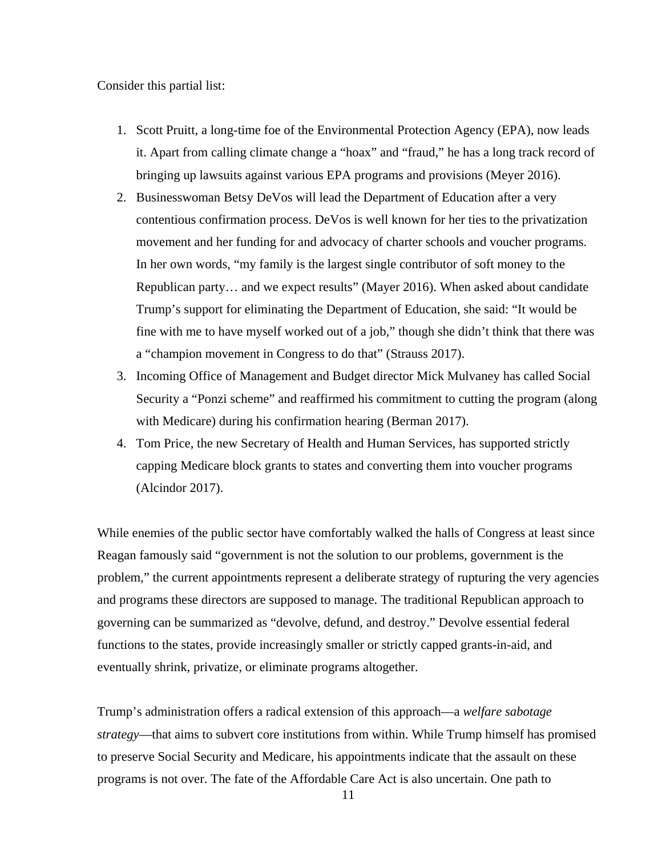Consider this partial list:

- 1. Scott Pruitt, a long-time foe of the Environmental Protection Agency (EPA), now leads it. Apart from calling climate change a "hoax" and "fraud," he has a long track record of bringing up lawsuits against various EPA programs and provisions (Meyer 2016).
- 2. Businesswoman Betsy DeVos will lead the Department of Education after a very contentious confirmation process. DeVos is well known for her ties to the privatization movement and her funding for and advocacy of charter schools and voucher programs. In her own words, "my family is the largest single contributor of soft money to the Republican party… and we expect results" (Mayer 2016). When asked about candidate Trump's support for eliminating the Department of Education, she said: "It would be fine with me to have myself worked out of a job," though she didn't think that there was a "champion movement in Congress to do that" (Strauss 2017).
- 3. Incoming Office of Management and Budget director Mick Mulvaney has called Social Security a "Ponzi scheme" and reaffirmed his commitment to cutting the program (along with Medicare) during his confirmation hearing (Berman 2017).
- 4. Tom Price, the new Secretary of Health and Human Services, has supported strictly capping Medicare block grants to states and converting them into voucher programs (Alcindor 2017).

While enemies of the public sector have comfortably walked the halls of Congress at least since Reagan famously said "government is not the solution to our problems, government is the problem," the current appointments represent a deliberate strategy of rupturing the very agencies and programs these directors are supposed to manage. The traditional Republican approach to governing can be summarized as "devolve, defund, and destroy." Devolve essential federal functions to the states, provide increasingly smaller or strictly capped grants-in-aid, and eventually shrink, privatize, or eliminate programs altogether.

Trump's administration offers a radical extension of this approach—a *welfare sabotage strategy*—that aims to subvert core institutions from within. While Trump himself has promised to preserve Social Security and Medicare, his appointments indicate that the assault on these programs is not over. The fate of the Affordable Care Act is also uncertain. One path to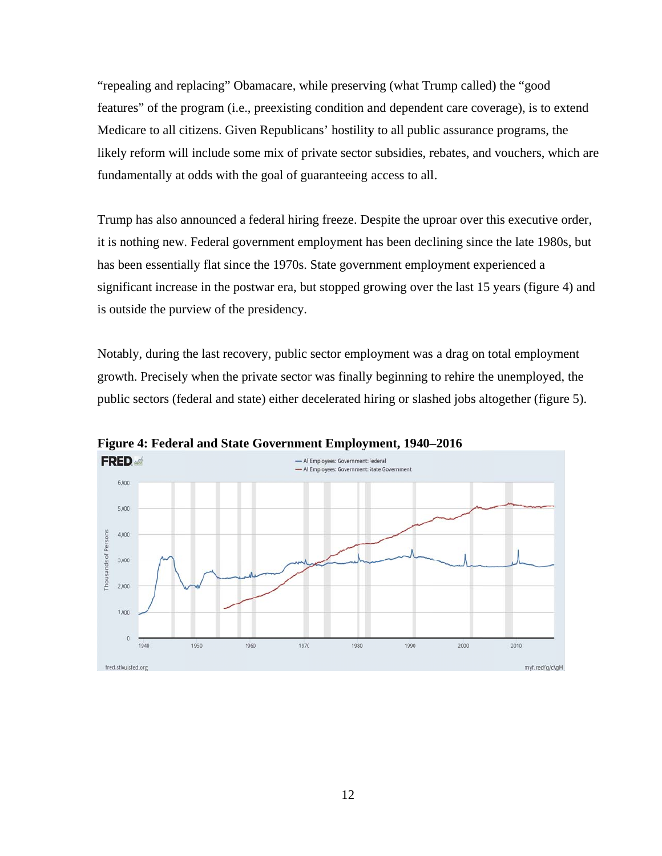"repealing and replacing" Obamacare, while preserving (what Trump called) the "good features" of the program (*i.e.*, preexisting condition and dependent care coverage), is to extend Medicare to all citizens. Given Republicans' hostility to all public assurance programs, the likely reform will include some mix of private sector subsidies, rebates, and vouchers, which are fundamentally at odds with the goal of guaranteeing access to all.

Trump has also announced a federal hiring freeze. Despite the uproar over this executive order, it is nothing new. Federal government employment has been declining since the late 1980s, but has been essentially flat since the 1970s. State government employment experienced a significant increase in the postwar era, but stopped growing over the last 15 years (figure 4) and is outside the purview of the presidency.

Notably, during the last recovery, public sector employment was a drag on total employment growth. Precisely when the private sector was finally beginning to rehire the unemployed, the public sectors (federal and state) either decelerated hiring or slashed jobs altogether (figure 5).



Figure 4: Federal and State Government Employment, 1940–2016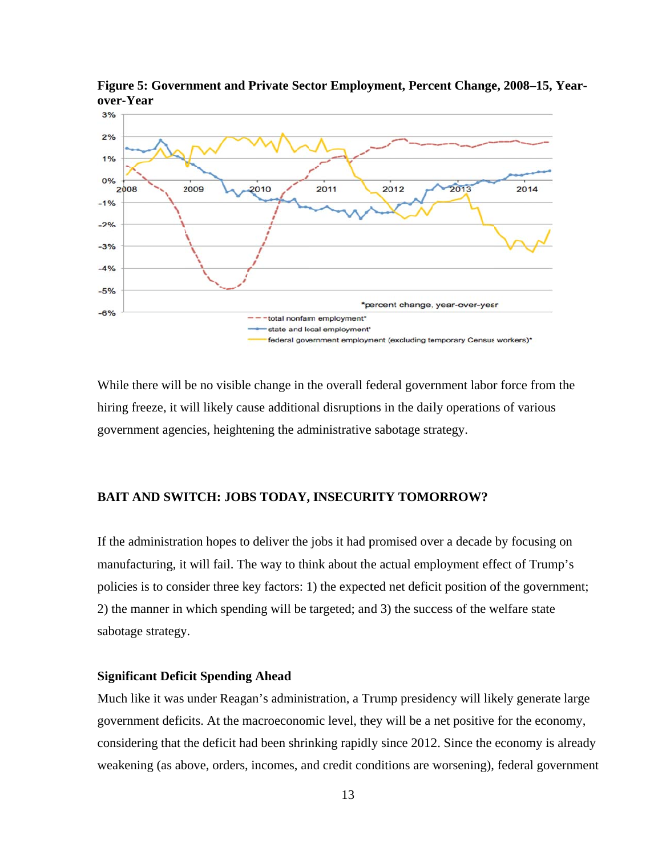

Figure 5: Government and Private Sector Employment, Percent Change, 2008–15, Yearover-Year

While there will be no visible change in the overall federal government labor force from the hiring freeze, it will likely cause additional disruptions in the daily operations of various government agencies, heightening the administrative sabotage strategy.

### **BAIT AND SWITCH: JOBS TODAY, INSECURITY TOMORROW?**

If the administration hopes to deliver the jobs it had promised over a decade by focusing on manufacturing, it will fail. The way to think about the actual employment effect of Trump's policies is to consider three key factors: 1) the expected net deficit position of the government; 2) the manner in which spending will be targeted; and 3) the success of the welfare state sabotage strategy.

### **Significant Deficit Spending Ahead**

Much like it was under Reagan's administration, a Trump presidency will likely generate large government deficits. At the macroeconomic level, they will be a net positive for the economy, considering that the deficit had been shrinking rapidly since 2012. Since the economy is already weakening (as above, orders, incomes, and credit conditions are worsening), federal government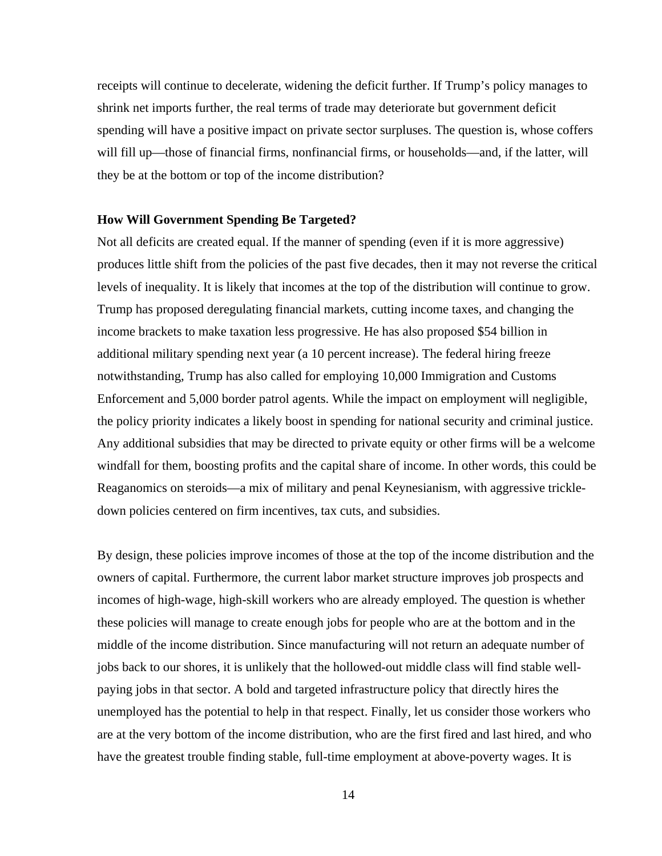receipts will continue to decelerate, widening the deficit further. If Trump's policy manages to shrink net imports further, the real terms of trade may deteriorate but government deficit spending will have a positive impact on private sector surpluses. The question is, whose coffers will fill up—those of financial firms, nonfinancial firms, or households—and, if the latter, will they be at the bottom or top of the income distribution?

### **How Will Government Spending Be Targeted?**

Not all deficits are created equal. If the manner of spending (even if it is more aggressive) produces little shift from the policies of the past five decades, then it may not reverse the critical levels of inequality. It is likely that incomes at the top of the distribution will continue to grow. Trump has proposed deregulating financial markets, cutting income taxes, and changing the income brackets to make taxation less progressive. He has also proposed \$54 billion in additional military spending next year (a 10 percent increase). The federal hiring freeze notwithstanding, Trump has also called for employing 10,000 Immigration and Customs Enforcement and 5,000 border patrol agents. While the impact on employment will negligible, the policy priority indicates a likely boost in spending for national security and criminal justice. Any additional subsidies that may be directed to private equity or other firms will be a welcome windfall for them, boosting profits and the capital share of income. In other words, this could be Reaganomics on steroids—a mix of military and penal Keynesianism, with aggressive trickledown policies centered on firm incentives, tax cuts, and subsidies.

By design, these policies improve incomes of those at the top of the income distribution and the owners of capital. Furthermore, the current labor market structure improves job prospects and incomes of high-wage, high-skill workers who are already employed. The question is whether these policies will manage to create enough jobs for people who are at the bottom and in the middle of the income distribution. Since manufacturing will not return an adequate number of jobs back to our shores, it is unlikely that the hollowed-out middle class will find stable wellpaying jobs in that sector. A bold and targeted infrastructure policy that directly hires the unemployed has the potential to help in that respect. Finally, let us consider those workers who are at the very bottom of the income distribution, who are the first fired and last hired, and who have the greatest trouble finding stable, full-time employment at above-poverty wages. It is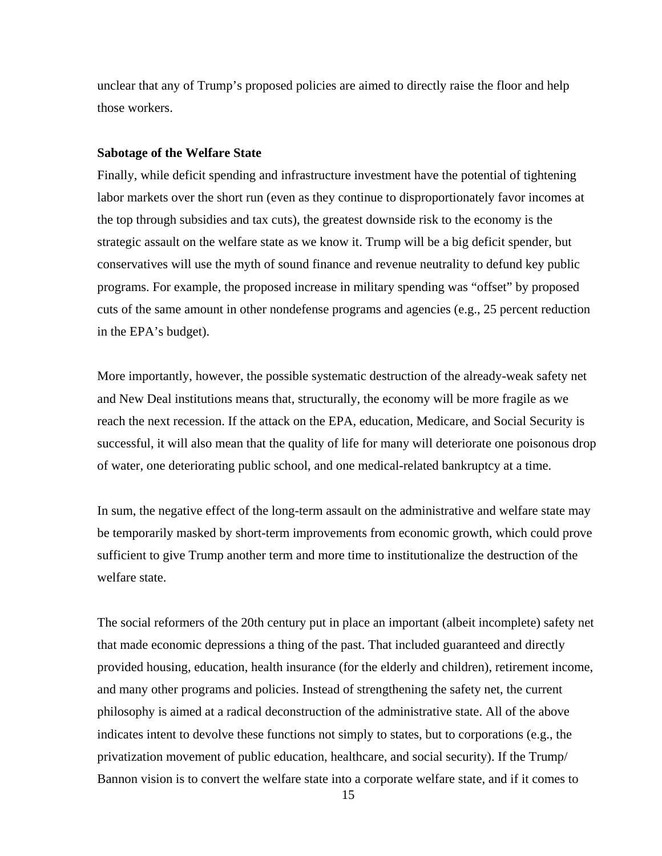unclear that any of Trump's proposed policies are aimed to directly raise the floor and help those workers.

#### **Sabotage of the Welfare State**

Finally, while deficit spending and infrastructure investment have the potential of tightening labor markets over the short run (even as they continue to disproportionately favor incomes at the top through subsidies and tax cuts), the greatest downside risk to the economy is the strategic assault on the welfare state as we know it. Trump will be a big deficit spender, but conservatives will use the myth of sound finance and revenue neutrality to defund key public programs. For example, the proposed increase in military spending was "offset" by proposed cuts of the same amount in other nondefense programs and agencies (e.g., 25 percent reduction in the EPA's budget).

More importantly, however, the possible systematic destruction of the already-weak safety net and New Deal institutions means that, structurally, the economy will be more fragile as we reach the next recession. If the attack on the EPA, education, Medicare, and Social Security is successful, it will also mean that the quality of life for many will deteriorate one poisonous drop of water, one deteriorating public school, and one medical-related bankruptcy at a time.

In sum, the negative effect of the long-term assault on the administrative and welfare state may be temporarily masked by short-term improvements from economic growth, which could prove sufficient to give Trump another term and more time to institutionalize the destruction of the welfare state.

The social reformers of the 20th century put in place an important (albeit incomplete) safety net that made economic depressions a thing of the past. That included guaranteed and directly provided housing, education, health insurance (for the elderly and children), retirement income, and many other programs and policies. Instead of strengthening the safety net, the current philosophy is aimed at a radical deconstruction of the administrative state. All of the above indicates intent to devolve these functions not simply to states, but to corporations (e.g., the privatization movement of public education, healthcare, and social security). If the Trump/ Bannon vision is to convert the welfare state into a corporate welfare state, and if it comes to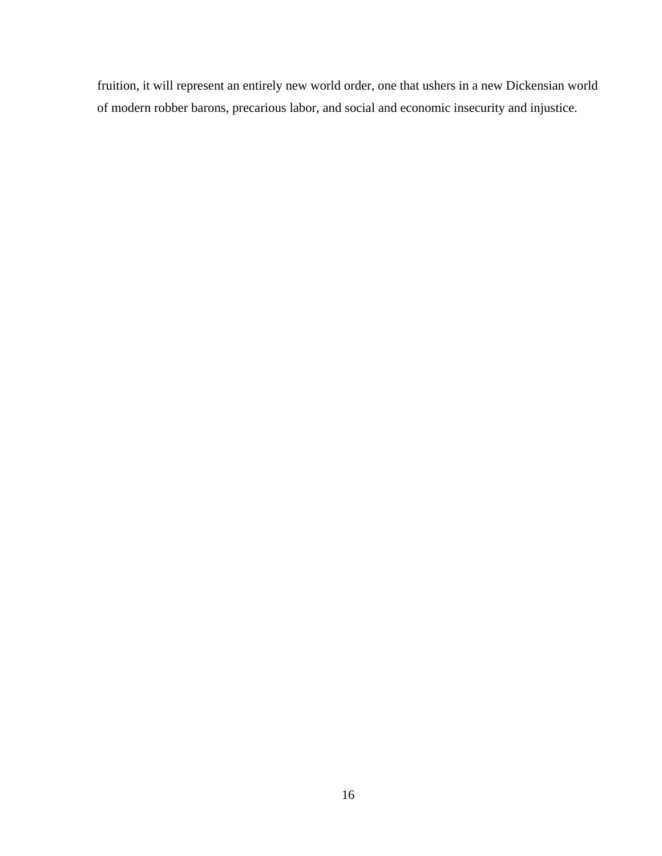fruition, it will represent an entirely new world order, one that ushers in a new Dickensian world of modern robber barons, precarious labor, and social and economic insecurity and injustice.